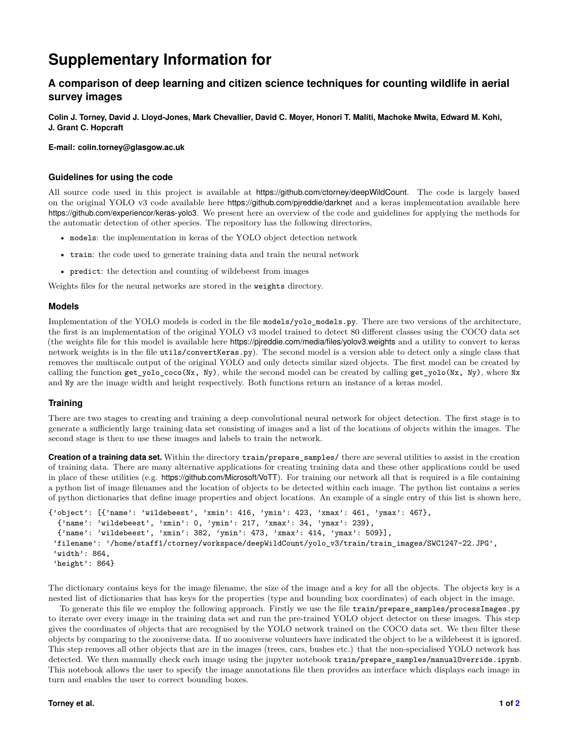# **Supplementary Information for**

# **A comparison of deep learning and citizen science techniques for counting wildlife in aerial survey images**

**Colin J. Torney, David J. Lloyd-Jones, Mark Chevallier, David C. Moyer, Honori T. Maliti, Machoke Mwita, Edward M. Kohi, J. Grant C. Hopcraft**

**E-mail: colin.torney@glasgow.ac.uk**

#### **Guidelines for using the code**

All source code used in this project is available at <https://github.com/ctorney/deepWildCount>. The code is largely based on the original YOLO v3 code available here <https://github.com/pjreddie/darknet> and a keras implementation available here <https://github.com/experiencor/keras-yolo3>. We present here an overview of the code and guidelines for applying the methods for the automatic detection of other species. The repository has the following directories,

- models: the implementation in keras of the YOLO object detection network
- train: the code used to generate training data and train the neural network
- predict: the detection and counting of wildebeest from images

Weights files for the neural networks are stored in the weights directory.

#### **Models**

Implementation of the YOLO models is coded in the file models/yolo\_models.py. There are two versions of the architecture, the first is an implementation of the original YOLO v3 model trained to detect 80 different classes using the COCO data set (the weights file for this model is available here <https://pjreddie.com/media/files/yolov3.weights> and a utility to convert to keras network weights is in the file utils/convertKeras.py). The second model is a version able to detect only a single class that removes the multiscale output of the original YOLO and only detects similar sized objects. The first model can be created by calling the function get yolo coco(Nx, Ny), while the second model can be created by calling get yolo(Nx, Ny), where Nx and Ny are the image width and height respectively. Both functions return an instance of a keras model.

#### **Training**

There are two stages to creating and training a deep convolutional neural network for object detection. The first stage is to generate a sufficiently large training data set consisting of images and a list of the locations of objects within the images. The second stage is then to use these images and labels to train the network.

**Creation of a training data set.** Within the directory train/prepare\_samples/ there are several utilities to assist in the creation of training data. There are many alternative applications for creating training data and these other applications could be used in place of these utilities (e.g. <https://github.com/Microsoft/VoTT>). For training our network all that is required is a file containing a python list of image filenames and the location of objects to be detected within each image. The python list contains a series of python dictionaries that define image properties and object locations. An example of a single entry of this list is shown here,

```
{'object': [{'name': 'wildebeest', 'xmin': 416, 'ymin': 423, 'xmax': 461, 'ymax': 467},
{'name': 'wildebeest', 'xmin': 0, 'ymin': 217, 'xmax': 34, 'ymax': 239},
{'name': 'wildebeest', 'xmin': 382, 'ymin': 473, 'xmax': 414, 'ymax': 509}],
'filename': '/home/staff1/ctorney/workspace/deepWildCount/yolo_v3/train/train_images/SWC1247-22.JPG',
'width': 864.
'height': 864}
```
The dictionary contains keys for the image filename, the size of the image and a key for all the objects. The objects key is a nested list of dictionaries that has keys for the properties (type and bounding box coordinates) of each object in the image.

To generate this file we employ the following approach. Firstly we use the file train/prepare\_samples/processImages.py to iterate over every image in the training data set and run the pre-trained YOLO object detector on these images. This step gives the coordinates of objects that are recognised by the YOLO network trained on the COCO data set. We then filter these objects by comparing to the zooniverse data. If no zooniverse volunteers have indicated the object to be a wildebeest it is ignored. This step removes all other objects that are in the images (trees, cars, bushes etc.) that the non-specialised YOLO network has detected. We then manually check each image using the jupyter notebook train/prepare\_samples/manualOverride.ipynb. This notebook allows the user to specify the image annotations file then provides an interface which displays each image in turn and enables the user to correct bounding boxes.